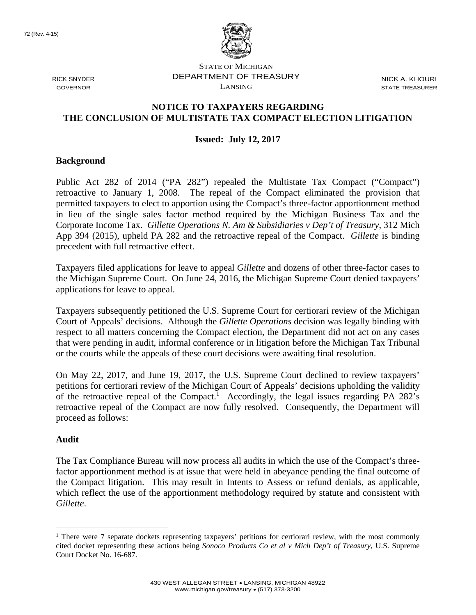

STATE OF MICHIGAN RICK SNYDER DEPARTMENT OF TREASURY NICK A. KHOURI  $\sum_{i=1}^{n}$  GOVERNOR STATE TREASURER

# **NOTICE TO TAXPAYERS REGARDING THE CONCLUSION OF MULTISTATE TAX COMPACT ELECTION LITIGATION**

## **Issued: July 12, 2017**

### **Background**

Public Act 282 of 2014 ("PA 282") repealed the Multistate Tax Compact ("Compact") retroactive to January 1, 2008. The repeal of the Compact eliminated the provision that permitted taxpayers to elect to apportion using the Compact's three-factor apportionment method in lieu of the single sales factor method required by the Michigan Business Tax and the Corporate Income Tax. *Gillette Operations N. Am & Subsidiaries v Dep't of Treasury*, 312 Mich App 394 (2015), upheld PA 282 and the retroactive repeal of the Compact. *Gillette* is binding precedent with full retroactive effect.

Taxpayers filed applications for leave to appeal *Gillette* and dozens of other three-factor cases to the Michigan Supreme Court. On June 24, 2016, the Michigan Supreme Court denied taxpayers' applications for leave to appeal.

Taxpayers subsequently petitioned the U.S. Supreme Court for certiorari review of the Michigan Court of Appeals' decisions. Although the *Gillette Operations* decision was legally binding with respect to all matters concerning the Compact election, the Department did not act on any cases that were pending in audit, informal conference or in litigation before the Michigan Tax Tribunal or the courts while the appeals of these court decisions were awaiting final resolution.

On May 22, 2017, and June 19, 2017, the U.S. Supreme Court declined to review taxpayers' petitions for certiorari review of the Michigan Court of Appeals' decisions upholding the validity of the retroactive repeal of the Compact.<sup>1</sup> Accordingly, the legal issues regarding PA 282's retroactive repeal of the Compact are now fully resolved. Consequently, the Department will proceed as follows:

#### **Audit**

 $\overline{a}$ 

The Tax Compliance Bureau will now process all audits in which the use of the Compact's threefactor apportionment method is at issue that were held in abeyance pending the final outcome of the Compact litigation. This may result in Intents to Assess or refund denials, as applicable, which reflect the use of the apportionment methodology required by statute and consistent with *Gillette*.

<sup>&</sup>lt;sup>1</sup> There were 7 separate dockets representing taxpayers' petitions for certiorari review, with the most commonly cited docket representing these actions being *Sonoco Products Co et al v Mich Dep't of Treasury*, U.S. Supreme Court Docket No. 16-687.